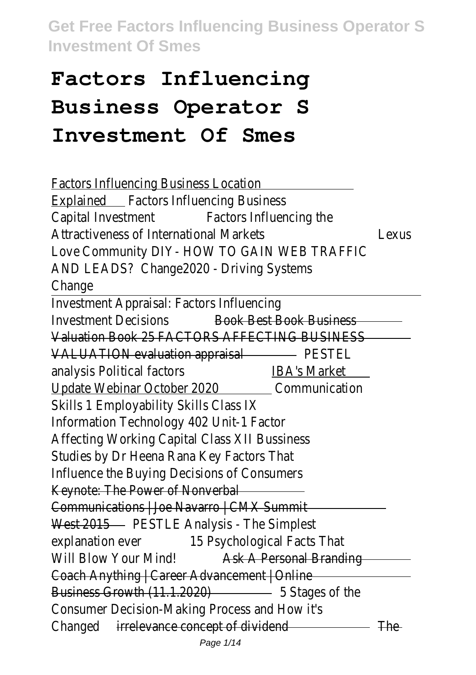# **Factors Influencing Business Operator S Investment Of Smes**

| <b>Factors Influencing Business Location</b>                  |       |
|---------------------------------------------------------------|-------|
| <b>Explained</b> Factors Influencing Business                 |       |
| Capital Investment Factors Influencing the                    |       |
| <b>Attractiveness of International Markets</b>                | Lexus |
| Love Community DIY- HOW TO GAIN WEB TRAFFIC                   |       |
| AND LEADS? Change2020 - Driving Systems                       |       |
| Change                                                        |       |
| Investment Appraisal: Factors Influencing                     |       |
| <b>Investment Decisions</b><br><b>Book Best Book Business</b> |       |
| Valuation Book 25 FACTORS AFFECTING BUSINESS                  |       |
| VALUATION evaluation appraisal PESTEL                         |       |
| analysis Political factors<br><b>IBA's Market</b>             |       |
| Update Webinar October 2020 Communication                     |       |
| Skills 1 Employability Skills Class IX                        |       |
| Information Technology 402 Unit-1 Factor                      |       |
| Affecting Working Capital Class XII Bussiness                 |       |
| Studies by Dr Heena Rana Key Factors That                     |       |
| Influence the Buying Decisions of Consumers                   |       |
| Keynote: The Power of Nonverbal                               |       |
| Communications   Joe Navarro   CMX Summit                     |       |
| West 2015 - PESTLE Analysis - The Simplest                    |       |
| 15 Psychological Facts That<br>explanation ever               |       |
| Will Blow Your Mind! Ask A Personal Branding                  |       |
| Coach Anything   Career Advancement   Online                  |       |
| Business Growth (11.1.2020) 5 Stages of the                   |       |
| Consumer Decision-Making Process and How it's                 |       |
| Changed irrelevance concept of dividend The The               |       |
|                                                               |       |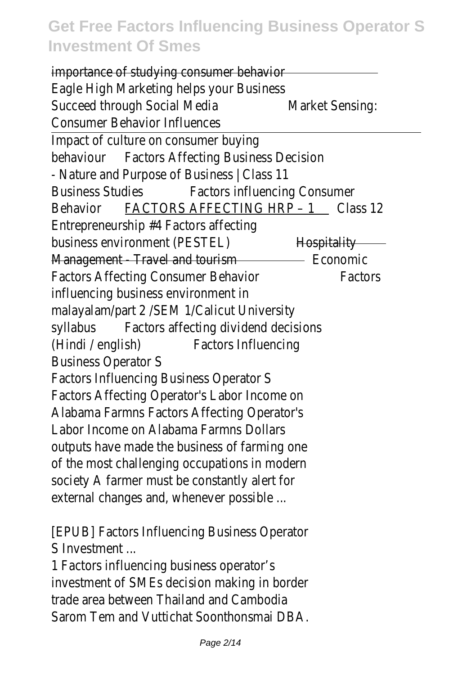| importance of studying consumer behavior                       |                 |
|----------------------------------------------------------------|-----------------|
| Eagle High Marketing helps your Business                       |                 |
| Succeed through Social Media                                   | Market Sensing: |
| <b>Consumer Behavior Influences</b>                            |                 |
| Impact of culture on consumer buying                           |                 |
| <b>Factors Affecting Business Decision</b><br>behaviour        |                 |
| - Nature and Purpose of Business   Class 11                    |                 |
| <b>Business Studies</b><br><b>Factors influencing Consumer</b> |                 |
| FACTORS AFFECTING HRP - 1 Class 12<br>Behavior                 |                 |
| Entrepreneurship #4 Factors affecting                          |                 |
| business environment (PESTEL)                                  | Hospitality     |
| Management - Travel and tourism <b>Example 2018</b> Economic   |                 |
| <b>Factors Affecting Consumer Behavior</b>                     | Factors         |
| influencing business environment in                            |                 |
| malayalam/part 2 / SEM 1/ Calicut University                   |                 |
| Factors affecting dividend decisions<br>syllabus               |                 |
| <b>Factors Influencing</b><br>(Hindi / english)                |                 |
| <b>Business Operator S</b>                                     |                 |
| <b>Factors Influencing Business Operator S</b>                 |                 |
| Factors Affecting Operator's Labor Income on                   |                 |
| Alabama Farmns Factors Affecting Operator's                    |                 |
| Labor Income on Alabama Farmns Dollars                         |                 |
| outputs have made the business of farming one                  |                 |
| of the most challenging occupations in modern                  |                 |
| society A farmer must be constantly alert for                  |                 |
| external changes and, whenever possible                        |                 |
| [EPUB] Factors Influencing Business Operator                   |                 |
| S Investment                                                   |                 |
| 1 Factors influencing business operator's                      |                 |
| investment of SMEs decision making in border                   |                 |
|                                                                |                 |

trade area between Thailand and Cambodia Sarom Tem and Vuttichat Soonthonsmai DBA.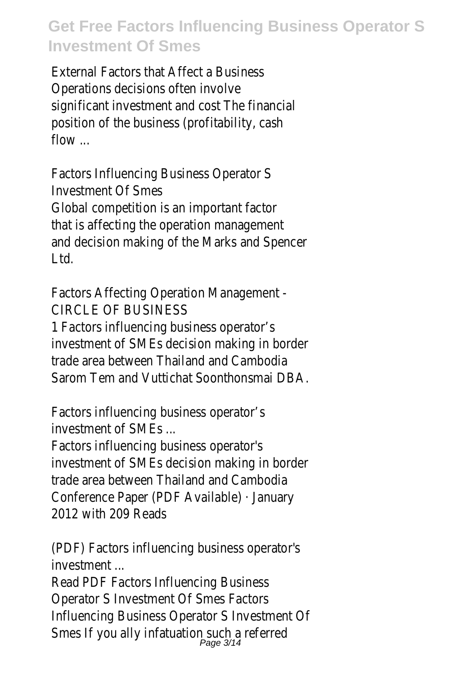External Factors that Affect a Business Operations decisions often involve significant investment and cost The financial position of the business (profitability, cash flow ...

Factors Influencing Business Operator S Investment Of Smes Global competition is an important factor that is affecting the operation management and decision making of the Marks and Spencer Ltd.

Factors Affecting Operation Management - CIRCLE OF BUSINESS

1 Factors influencing business operator's investment of SMEs decision making in border trade area between Thailand and Cambodia Sarom Tem and Vuttichat Soonthonsmai DBA.

Factors influencing business operator's investment of SMEs ...

Factors influencing business operator's investment of SMEs decision making in border trade area between Thailand and Cambodia Conference Paper (PDF Available) · January 2012 with 209 Reads

(PDF) Factors influencing business operator's investment ...

Read PDF Factors Influencing Business Operator S Investment Of Smes Factors Influencing Business Operator S Investment Of Smes If you ally infatuation such a referred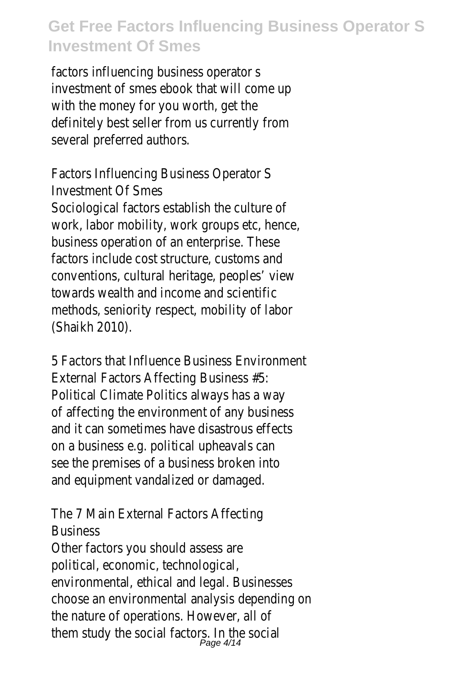factors influencing business operator s investment of smes ebook that will come up with the money for you worth, get the definitely best seller from us currently from several preferred authors.

Factors Influencing Business Operator S Investment Of Smes Sociological factors establish the culture of work, labor mobility, work groups etc, hence, business operation of an enterprise. These factors include cost structure, customs and conventions, cultural heritage, peoples' view towards wealth and income and scientific methods, seniority respect, mobility of labor (Shaikh 2010).

5 Factors that Influence Business Environment External Factors Affecting Business #5: Political Climate Politics always has a way of affecting the environment of any business and it can sometimes have disastrous effects on a business e.g. political upheavals can see the premises of a business broken into and equipment vandalized or damaged.

The 7 Main External Factors Affecting **Business** 

Other factors you should assess are political, economic, technological, environmental, ethical and legal. Businesses choose an environmental analysis depending on the nature of operations. However, all of them study the social factors. In the social<br>Page 4/14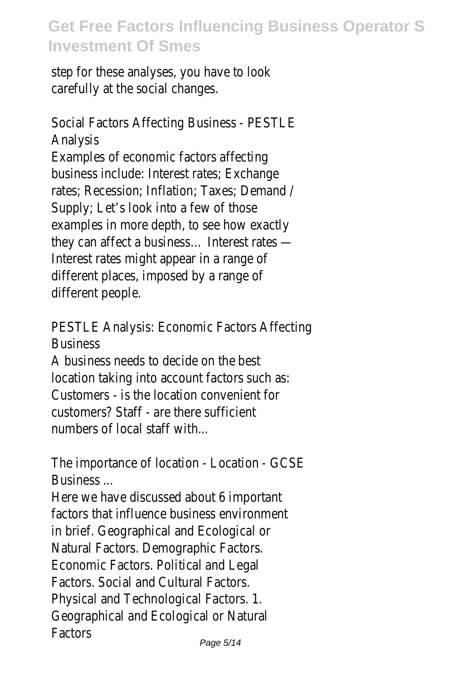step for these analyses, you have to look carefully at the social changes.

Social Factors Affecting Business - PESTLE Analysis Examples of economic factors affecting business include: Interest rates; Exchange rates; Recession; Inflation; Taxes; Demand / Supply; Let's look into a few of those examples in more depth, to see how exactly they can affect a business… Interest rates — Interest rates might appear in a range of different places, imposed by a range of different people.

PESTLE Analysis: Economic Factors Affecting **Business** 

A business needs to decide on the best location taking into account factors such as: Customers - is the location convenient for customers? Staff - are there sufficient numbers of local staff with...

The importance of location - Location - GCSE Business ...

Here we have discussed about 6 important factors that influence business environment in brief. Geographical and Ecological or Natural Factors. Demographic Factors. Economic Factors. Political and Legal Factors. Social and Cultural Factors. Physical and Technological Factors. 1. Geographical and Ecological or Natural **Factors**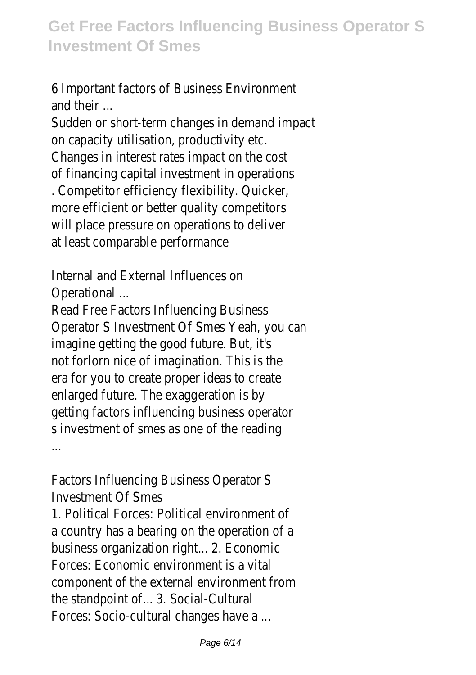6 Important factors of Business Environment and their ...

Sudden or short-term changes in demand impact on capacity utilisation, productivity etc. Changes in interest rates impact on the cost of financing capital investment in operations . Competitor efficiency flexibility. Quicker, more efficient or better quality competitors will place pressure on operations to deliver at least comparable performance

Internal and External Influences on Operational ...

Read Free Factors Influencing Business Operator S Investment Of Smes Yeah, you can imagine getting the good future. But, it's not forlorn nice of imagination. This is the era for you to create proper ideas to create enlarged future. The exaggeration is by getting factors influencing business operator s investment of smes as one of the reading

...

Factors Influencing Business Operator S Investment Of Smes

1. Political Forces: Political environment of a country has a bearing on the operation of a business organization right... 2. Economic Forces: Economic environment is a vital component of the external environment from the standpoint of... 3. Social-Cultural Forces: Socio-cultural changes have a ...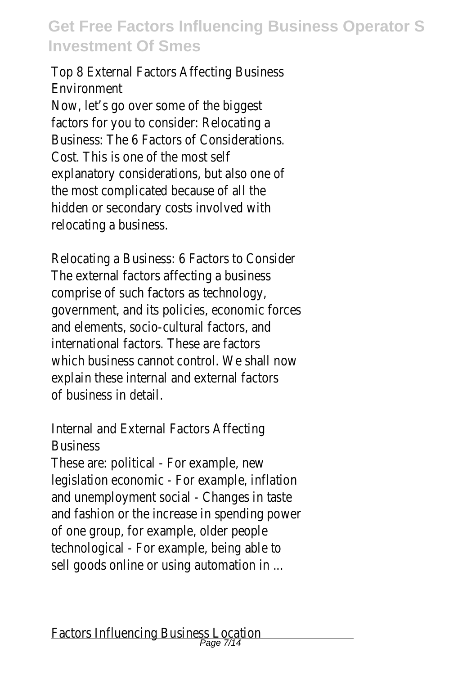#### Top 8 External Factors Affecting Business Environment

Now, let's go over some of the biggest factors for you to consider: Relocating a Business: The 6 Factors of Considerations. Cost. This is one of the most self explanatory considerations, but also one of the most complicated because of all the hidden or secondary costs involved with relocating a business.

Relocating a Business: 6 Factors to Consider The external factors affecting a business comprise of such factors as technology, government, and its policies, economic forces and elements, socio-cultural factors, and international factors. These are factors which business cannot control. We shall now explain these internal and external factors of business in detail.

#### Internal and External Factors Affecting Business

These are: political - For example, new legislation economic - For example, inflation and unemployment social - Changes in taste and fashion or the increase in spending power of one group, for example, older people technological - For example, being able to sell goods online or using automation in ...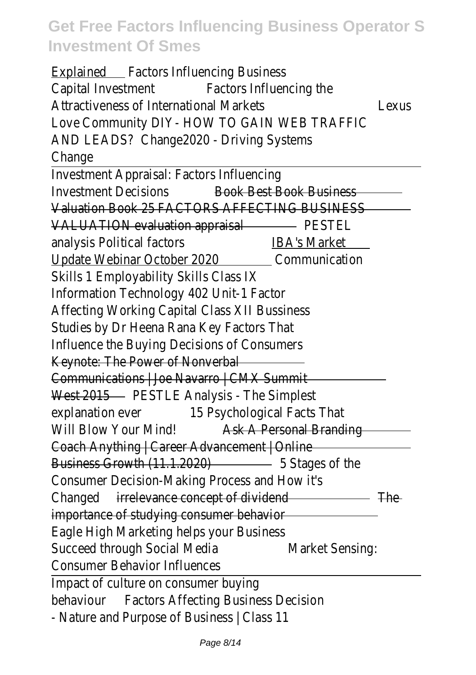| <b>Explained</b> Factors Influencing Business                 |       |
|---------------------------------------------------------------|-------|
| Capital Investment Factors Influencing the                    |       |
| <b>Attractiveness of International Markets</b>                | Lexus |
| Love Community DIY- HOW TO GAIN WEB TRAFFIC                   |       |
| AND LEADS? Change 2020 - Driving Systems                      |       |
| Change                                                        |       |
| Investment Appraisal: Factors Influencing                     |       |
| <b>Investment Decisions</b><br><b>Book Best Book Business</b> |       |
| Valuation Book 25 FACTORS AFFECTING BUSINESS                  |       |
| VALUATION evaluation appraisal PESTEL                         |       |
| <u>IBA's Market</u><br>analysis Political factors             |       |
| Update Webinar October 2020 Communication                     |       |
| Skills 1 Employability Skills Class IX                        |       |
| Information Technology 402 Unit-1 Factor                      |       |
| Affecting Working Capital Class XII Bussiness                 |       |
| Studies by Dr Heena Rana Key Factors That                     |       |
| Influence the Buying Decisions of Consumers                   |       |
| Keynote: The Power of Nonverbal                               |       |
| Communications   Joe Navarro   CMX Summit                     |       |
| West 2015 - PESTLE Analysis - The Simplest                    |       |
| explanation ever 15 Psychological Facts That                  |       |
| Will Blow Your Mind!<br>Ask A Personal Branding               |       |
| Coach Anything   Career Advancement   Online                  |       |
| Business Growth (11.1.2020) 5 Stages of the                   |       |
| Consumer Decision-Making Process and How it's                 |       |
| Changed irrelevance concept of dividend <b>Changed</b> The    |       |
| importance of studying consumer behavior                      |       |
| Eagle High Marketing helps your Business                      |       |
| Succeed through Social Media<br>Market Sensing:               |       |
| <b>Consumer Behavior Influences</b>                           |       |
| Impact of culture on consumer buying                          |       |
| behaviour Factors Affecting Business Decision                 |       |
| - Nature and Purpose of Business   Class 11                   |       |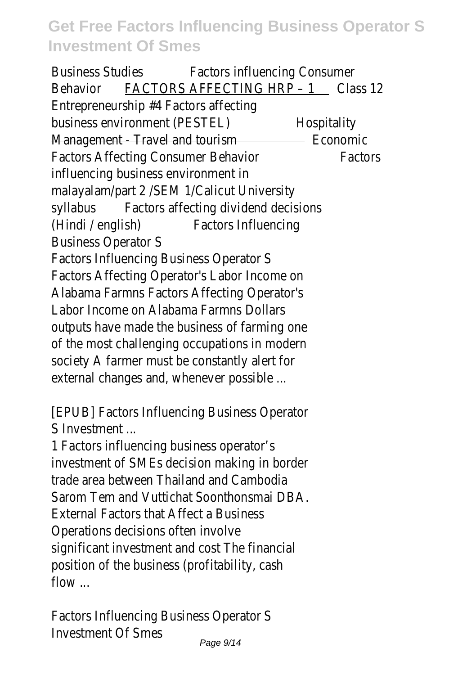Business Studies Factors influencing Consumer Behavior FACTORS AFFECTING HRP - 1 Class 12 Entrepreneurship #4 Factors affecting business environment (PESTEL) Hospitality Management - Travel and tourism - Travel and tourism - Economic Factors Affecting Consumer Behavior Factors influencing business environment in malayalam/part 2 /SEM 1/Calicut University syllabus Factors affecting dividend decisions (Hindi / english) Factors Influencing Business Operator S Factors Influencing Business Operator S Factors Affecting Operator's Labor Income on Alabama Farmns Factors Affecting Operator's Labor Income on Alabama Farmns Dollars outputs have made the business of farming one of the most challenging occupations in modern society A farmer must be constantly alert for external changes and, whenever possible ...

[EPUB] Factors Influencing Business Operator S Investment

1 Factors influencing business operator's investment of SMEs decision making in border trade area between Thailand and Cambodia Sarom Tem and Vuttichat Soonthonsmai DBA. External Factors that Affect a Business Operations decisions often involve significant investment and cost The financial position of the business (profitability, cash flow ...

Factors Influencing Business Operator S Investment Of Smes Page 9/14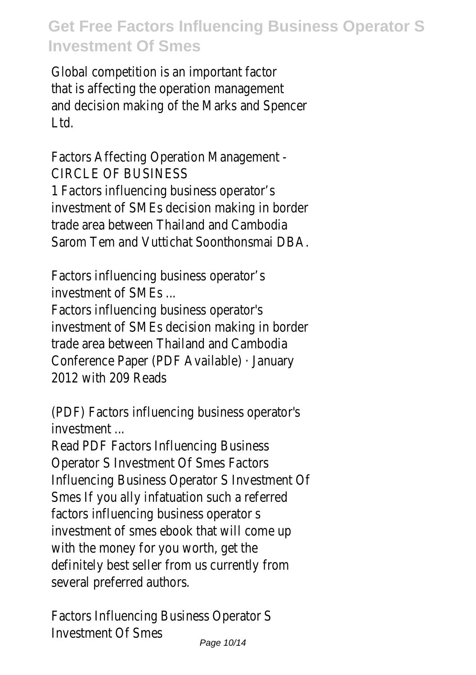Global competition is an important factor that is affecting the operation management and decision making of the Marks and Spencer Ltd.

Factors Affecting Operation Management - CIRCLE OF BUSINESS

1 Factors influencing business operator's investment of SMEs decision making in border trade area between Thailand and Cambodia Sarom Tem and Vuttichat Soonthonsmai DBA.

Factors influencing business operator's investment of SMEs ...

Factors influencing business operator's investment of SMEs decision making in border trade area between Thailand and Cambodia Conference Paper (PDF Available) · January 2012 with 209 Reads

(PDF) Factors influencing business operator's investment

Read PDF Factors Influencing Business Operator S Investment Of Smes Factors Influencing Business Operator S Investment Of Smes If you ally infatuation such a referred factors influencing business operator s investment of smes ebook that will come up with the money for you worth, get the definitely best seller from us currently from several preferred authors.

Factors Influencing Business Operator S Investment Of Smes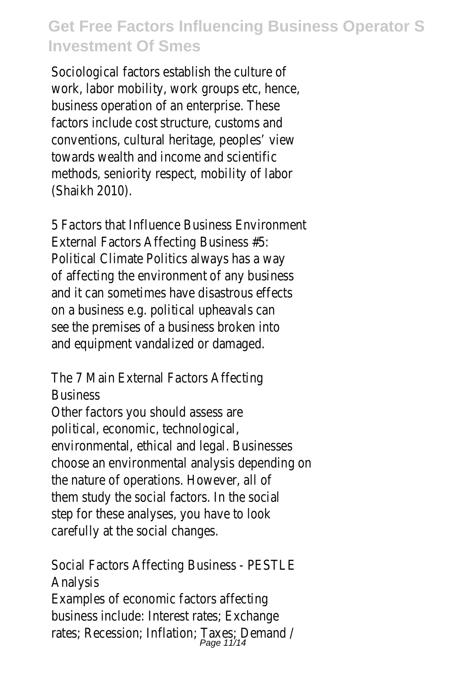Sociological factors establish the culture of work, labor mobility, work groups etc, hence, business operation of an enterprise. These factors include cost structure, customs and conventions, cultural heritage, peoples' view towards wealth and income and scientific methods, seniority respect, mobility of labor (Shaikh 2010).

5 Factors that Influence Business Environment External Factors Affecting Business #5: Political Climate Politics always has a way of affecting the environment of any business and it can sometimes have disastrous effects on a business e.g. political upheavals can see the premises of a business broken into and equipment vandalized or damaged.

The 7 Main External Factors Affecting **Business** 

Other factors you should assess are political, economic, technological, environmental, ethical and legal. Businesses choose an environmental analysis depending on the nature of operations. However, all of them study the social factors. In the social step for these analyses, you have to look carefully at the social changes.

Social Factors Affecting Business - PESTLE Analysis

Examples of economic factors affecting business include: Interest rates; Exchange rates; Recession; Inflation; Taxes; Demand /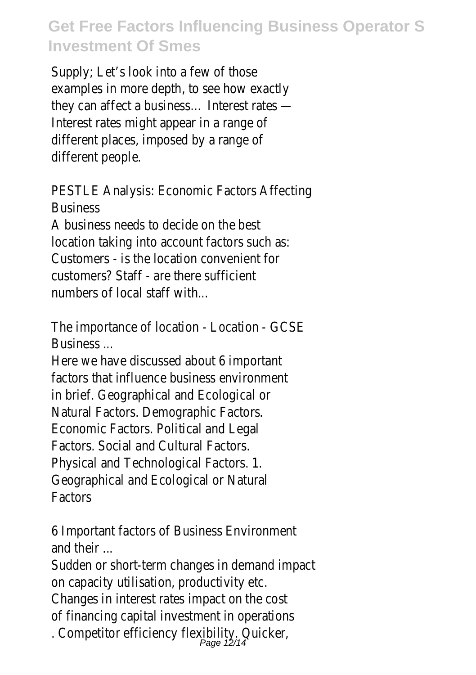Supply; Let's look into a few of those examples in more depth, to see how exactly they can affect a business… Interest rates — Interest rates might appear in a range of different places, imposed by a range of different people.

PESTLE Analysis: Economic Factors Affecting **Business** 

A business needs to decide on the best location taking into account factors such as: Customers - is the location convenient for customers? Staff - are there sufficient numbers of local staff with...

The importance of location - Location - GCSE **Business** 

Here we have discussed about 6 important factors that influence business environment in brief. Geographical and Ecological or Natural Factors. Demographic Factors. Economic Factors. Political and Legal Factors. Social and Cultural Factors. Physical and Technological Factors. 1. Geographical and Ecological or Natural Factors

6 Important factors of Business Environment and their ...

Sudden or short-term changes in demand impact on capacity utilisation, productivity etc. Changes in interest rates impact on the cost of financing capital investment in operations

. Competitor efficiency flexibility. Quicker,<br>Page 12/14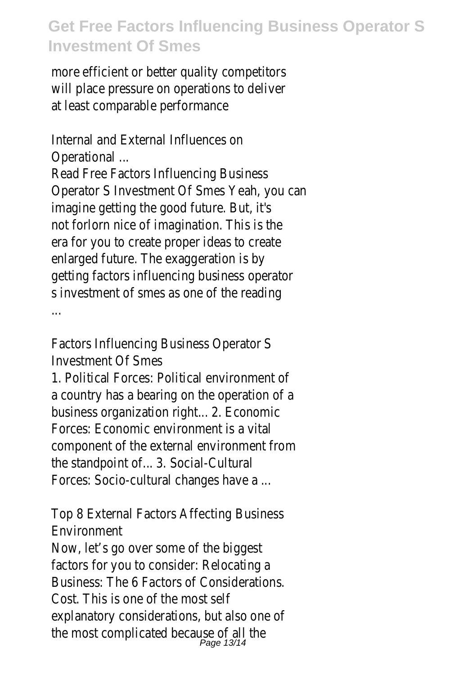more efficient or better quality competitors will place pressure on operations to deliver at least comparable performance

Internal and External Influences on Operational ...

Read Free Factors Influencing Business Operator S Investment Of Smes Yeah, you can imagine getting the good future. But, it's not forlorn nice of imagination. This is the era for you to create proper ideas to create enlarged future. The exaggeration is by getting factors influencing business operator s investment of smes as one of the reading ...

Factors Influencing Business Operator S Investment Of Smes

1. Political Forces: Political environment of a country has a bearing on the operation of a business organization right... 2. Economic Forces: Economic environment is a vital component of the external environment from the standpoint of... 3. Social-Cultural Forces: Socio-cultural changes have a ...

Top 8 External Factors Affecting Business Environment

Now, let's go over some of the biggest factors for you to consider: Relocating a Business: The 6 Factors of Considerations. Cost. This is one of the most self explanatory considerations, but also one of the most complicated because of all the<br> $P_{\text{age 13/14}}$